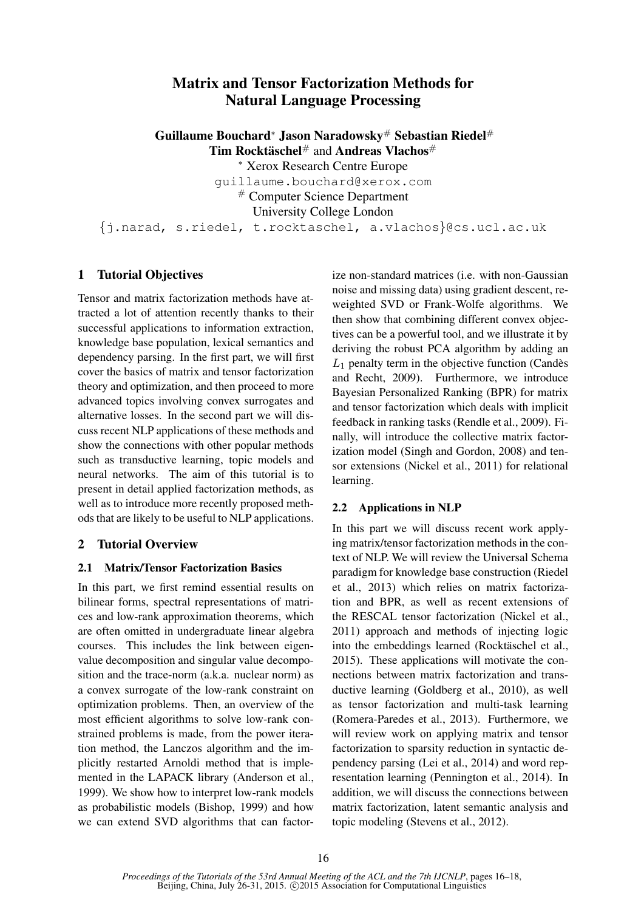# Matrix and Tensor Factorization Methods for Natural Language Processing

Guillaume Bouchard<sup>∗</sup> Jason Naradowsky<sup>#</sup> Sebastian Riedel<sup>#</sup> Tim Rocktäschel<sup>#</sup> and Andreas Vlachos<sup>#</sup> <sup>∗</sup> Xerox Research Centre Europe guillaume.bouchard@xerox.com # Computer Science Department University College London {j.narad, s.riedel, t.rocktaschel, a.vlachos}@cs.ucl.ac.uk

## 1 Tutorial Objectives

Tensor and matrix factorization methods have attracted a lot of attention recently thanks to their successful applications to information extraction, knowledge base population, lexical semantics and dependency parsing. In the first part, we will first cover the basics of matrix and tensor factorization theory and optimization, and then proceed to more advanced topics involving convex surrogates and alternative losses. In the second part we will discuss recent NLP applications of these methods and show the connections with other popular methods such as transductive learning, topic models and neural networks. The aim of this tutorial is to present in detail applied factorization methods, as well as to introduce more recently proposed methods that are likely to be useful to NLP applications.

## 2 Tutorial Overview

#### 2.1 Matrix/Tensor Factorization Basics

In this part, we first remind essential results on bilinear forms, spectral representations of matrices and low-rank approximation theorems, which are often omitted in undergraduate linear algebra courses. This includes the link between eigenvalue decomposition and singular value decomposition and the trace-norm (a.k.a. nuclear norm) as a convex surrogate of the low-rank constraint on optimization problems. Then, an overview of the most efficient algorithms to solve low-rank constrained problems is made, from the power iteration method, the Lanczos algorithm and the implicitly restarted Arnoldi method that is implemented in the LAPACK library (Anderson et al., 1999). We show how to interpret low-rank models as probabilistic models (Bishop, 1999) and how we can extend SVD algorithms that can factorize non-standard matrices (i.e. with non-Gaussian noise and missing data) using gradient descent, reweighted SVD or Frank-Wolfe algorithms. We then show that combining different convex objectives can be a powerful tool, and we illustrate it by deriving the robust PCA algorithm by adding an  $L_1$  penalty term in the objective function (Candès and Recht, 2009). Furthermore, we introduce Bayesian Personalized Ranking (BPR) for matrix and tensor factorization which deals with implicit feedback in ranking tasks (Rendle et al., 2009). Finally, will introduce the collective matrix factorization model (Singh and Gordon, 2008) and tensor extensions (Nickel et al., 2011) for relational learning.

#### 2.2 Applications in NLP

In this part we will discuss recent work applying matrix/tensor factorization methods in the context of NLP. We will review the Universal Schema paradigm for knowledge base construction (Riedel et al., 2013) which relies on matrix factorization and BPR, as well as recent extensions of the RESCAL tensor factorization (Nickel et al., 2011) approach and methods of injecting logic into the embeddings learned (Rocktäschel et al., 2015). These applications will motivate the connections between matrix factorization and transductive learning (Goldberg et al., 2010), as well as tensor factorization and multi-task learning (Romera-Paredes et al., 2013). Furthermore, we will review work on applying matrix and tensor factorization to sparsity reduction in syntactic dependency parsing (Lei et al., 2014) and word representation learning (Pennington et al., 2014). In addition, we will discuss the connections between matrix factorization, latent semantic analysis and topic modeling (Stevens et al., 2012).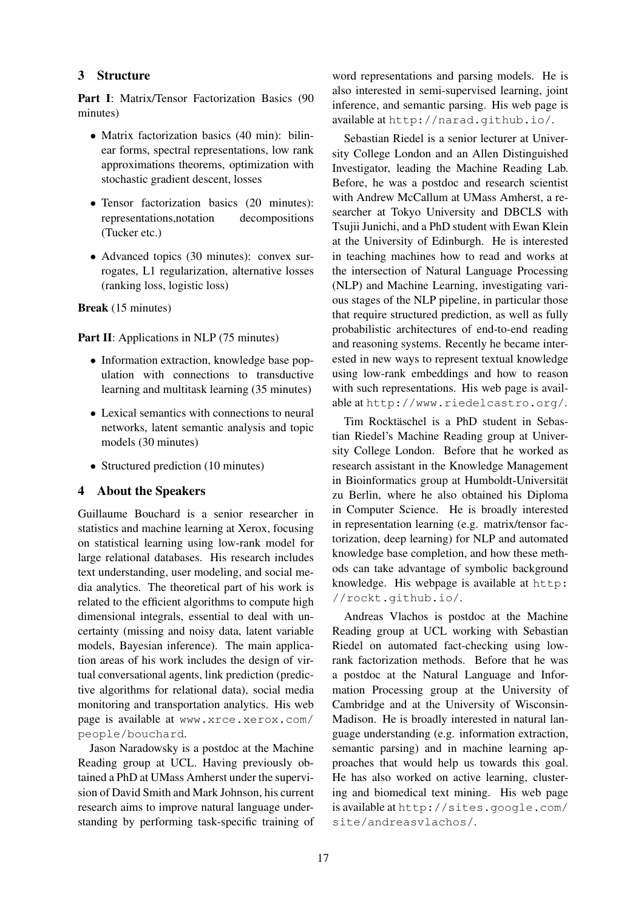#### 3 Structure

Part I: Matrix/Tensor Factorization Basics (90 minutes)

- Matrix factorization basics (40 min): bilinear forms, spectral representations, low rank approximations theorems, optimization with stochastic gradient descent, losses
- Tensor factorization basics (20 minutes): representations,notation decompositions (Tucker etc.)
- Advanced topics (30 minutes): convex surrogates, L1 regularization, alternative losses (ranking loss, logistic loss)

Break (15 minutes)

Part II: Applications in NLP (75 minutes)

- Information extraction, knowledge base population with connections to transductive learning and multitask learning (35 minutes)
- Lexical semantics with connections to neural networks, latent semantic analysis and topic models (30 minutes)
- Structured prediction (10 minutes)

## 4 About the Speakers

Guillaume Bouchard is a senior researcher in statistics and machine learning at Xerox, focusing on statistical learning using low-rank model for large relational databases. His research includes text understanding, user modeling, and social media analytics. The theoretical part of his work is related to the efficient algorithms to compute high dimensional integrals, essential to deal with uncertainty (missing and noisy data, latent variable models, Bayesian inference). The main application areas of his work includes the design of virtual conversational agents, link prediction (predictive algorithms for relational data), social media monitoring and transportation analytics. His web page is available at www.xrce.xerox.com/ people/bouchard.

Jason Naradowsky is a postdoc at the Machine Reading group at UCL. Having previously obtained a PhD at UMass Amherst under the supervision of David Smith and Mark Johnson, his current research aims to improve natural language understanding by performing task-specific training of

word representations and parsing models. He is also interested in semi-supervised learning, joint inference, and semantic parsing. His web page is available at http://narad.github.io/.

Sebastian Riedel is a senior lecturer at University College London and an Allen Distinguished Investigator, leading the Machine Reading Lab. Before, he was a postdoc and research scientist with Andrew McCallum at UMass Amherst, a researcher at Tokyo University and DBCLS with Tsujii Junichi, and a PhD student with Ewan Klein at the University of Edinburgh. He is interested in teaching machines how to read and works at the intersection of Natural Language Processing (NLP) and Machine Learning, investigating various stages of the NLP pipeline, in particular those that require structured prediction, as well as fully probabilistic architectures of end-to-end reading and reasoning systems. Recently he became interested in new ways to represent textual knowledge using low-rank embeddings and how to reason with such representations. His web page is available at http://www.riedelcastro.org/.

Tim Rocktäschel is a PhD student in Sebastian Riedel's Machine Reading group at University College London. Before that he worked as research assistant in the Knowledge Management in Bioinformatics group at Humboldt-Universität zu Berlin, where he also obtained his Diploma in Computer Science. He is broadly interested in representation learning (e.g. matrix/tensor factorization, deep learning) for NLP and automated knowledge base completion, and how these methods can take advantage of symbolic background knowledge. His webpage is available at http: //rockt.github.io/.

Andreas Vlachos is postdoc at the Machine Reading group at UCL working with Sebastian Riedel on automated fact-checking using lowrank factorization methods. Before that he was a postdoc at the Natural Language and Information Processing group at the University of Cambridge and at the University of Wisconsin-Madison. He is broadly interested in natural language understanding (e.g. information extraction, semantic parsing) and in machine learning approaches that would help us towards this goal. He has also worked on active learning, clustering and biomedical text mining. His web page is available at http://sites.google.com/ site/andreasvlachos/.